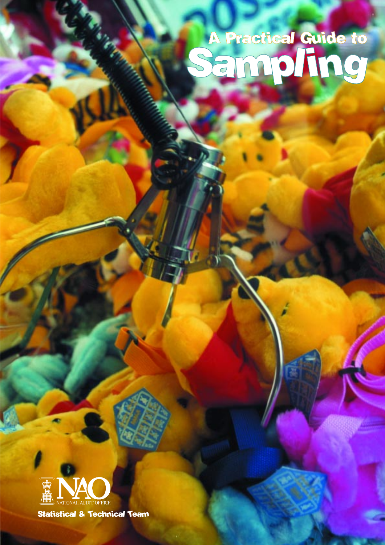# A Practical Guide to Sampling



Statistical & Technical Team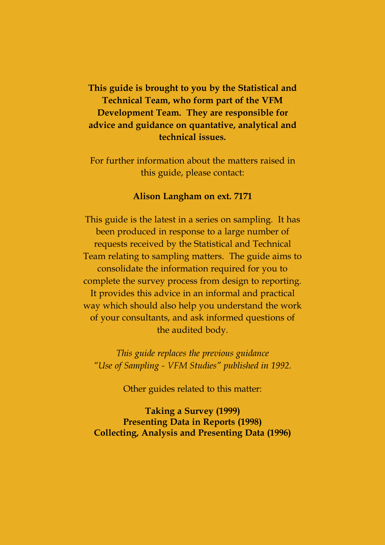## **This guide is brought to you by the Statistical and Technical Team, who form part of the VFM Development Team. They are responsible for advice and guidance on quantative, analytical and technical issues.**

For further information about the matters raised in this guide, please contact:

#### **Alison Langham on ext. 7171**

This guide is the latest in a series on sampling. It has been produced in response to a large number of requests received by the Statistical and Technical Team relating to sampling matters. The guide aims to consolidate the information required for you to complete the survey process from design to reporting. It provides this advice in an informal and practical way which should also help you understand the work of your consultants, and ask informed questions of the audited body.

*This guide replaces the previous guidance Use of Sampling - VFM Studies published in 1992.*

Other guides related to this matter:

**Taking a Survey (1999) Presenting Data in Reports (1998) Collecting, Analysis and Presenting Data (1996)**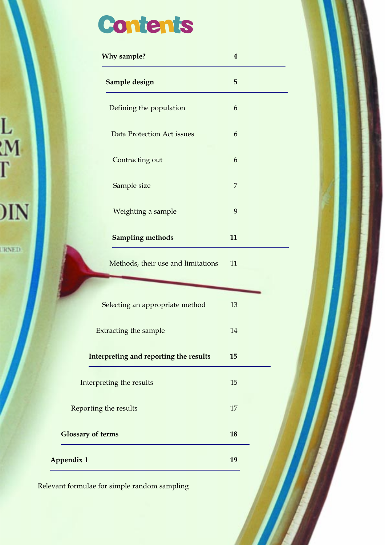# **Contents**

L<br>:M<br>I

 $\overline{\text{MN}}$ 

**TRNED** 

|                          | Why sample?                            | $\boldsymbol{4}$ |  |
|--------------------------|----------------------------------------|------------------|--|
|                          | Sample design                          | 5                |  |
|                          | Defining the population                | 6                |  |
|                          | <b>Data Protection Act issues</b>      | 6                |  |
|                          | Contracting out                        | 6                |  |
|                          | Sample size                            | 7                |  |
|                          | Weighting a sample                     | 9                |  |
|                          | <b>Sampling methods</b>                | 11               |  |
|                          | Methods, their use and limitations     | 11               |  |
|                          |                                        |                  |  |
|                          | Selecting an appropriate method        | 13               |  |
|                          | Extracting the sample                  | 14               |  |
|                          | Interpreting and reporting the results | 15               |  |
|                          | Interpreting the results               | 15               |  |
|                          | Reporting the results                  | 17               |  |
| <b>Glossary of terms</b> |                                        | 18               |  |
| <b>Appendix 1</b>        |                                        | 19               |  |
|                          |                                        |                  |  |

Relevant formulae for simple random sampling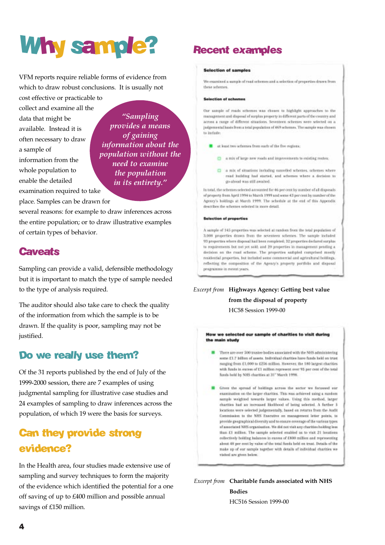# Why sample?

VFM reports require reliable forms of evidence from which to draw robust conclusions. It is usually not

cost effective or practicable to collect and examine all the data that might be available. Instead it is often necessary to draw a sample of information from the whole population to enable the detailed examination required to take place. Samples can be drawn for

*Sampling provides a means of gaining information about the population without the need to examine the population in its entirety.*

several reasons: for example to draw inferences across the entire population; or to draw illustrative examples of certain types of behavior.

# **Caveats**

Sampling can provide a valid, defensible methodology but it is important to match the type of sample needed to the type of analysis required.

The auditor should also take care to check the quality of the information from which the sample is to be drawn. If the quality is poor, sampling may not be justified.

## Do we really use them?

Of the 31 reports published by the end of July of the 1999-2000 session, there are 7 examples of using judgmental sampling for illustrative case studies and 24 examples of sampling to draw inferences across the population, of which 19 were the basis for surveys.

# Can they provide strong evidence?

In the Health area, four studies made extensive use of sampling and survey techniques to form the majority of the evidence which identified the potential for a one off saving of up to £400 million and possible annual savings of £150 million.

# Recent examples

#### Selection of samples

We examined a sumple of read schemes and a selection of properties drawn from these adverses

#### Salartian of schemes

Our sample of roads schemes was chosen to highlight approaches to the management and disposal of surplus property in different parts of the country and across a range of different situations. Seventeen schemes were selected on a judgemental hasts from a total population of 469 schemes. The sample was chosen to indule

- at least two schemes from each of the five regions:
	- a mix of large new roads and improvements to existing reutes:
	- $\square$  a nix of situations including cancelled schemes, schemes where read huilding had started, and schemes where a decision to go cheed was still awaited.

In total, the schemes selected accounted for 46 per cent by number of all disposals of property from April 1994 to March 1999 and some 43 per cent by number of the Agency's holdings at March 1999. The schedule at the end of this Appendix. describes the schemes selected in more detail.

#### **Selection of properties**

A sample of 145 properties was selected at random from the total population of 3,008 properties drawn from the seventees schemes. The sample included 93 properties where disposal had been completed; 32 properties declared surplus to requirements but not yet sold: and 20 properties in management pending a decision on the read scheme. The properties satipled comprised meetly residential properties, but included some commercial and agricultural holdings. reflecting the composition of the Agency's property portfolio and disposal programme in recent years.

#### *Excerpt from* **Highways Agency: Getting best value from the disposal of property** HC58 Session 1999-00

How we selected our sample of charities to visit during the main study

There are over 500 trustee hodies associated with the NHS administering some £1.7 billion of assets. Individual charities have funds held on trust ranging from £1,000 to £256 million. However, the 180 largest charities. with funds in excess of £1 million represent ever 95 per cent of the total funds held by NHS charities at 31" March 1998.

Given the spread of holdings across the sector we fernesed our examination on the larger charities. This was achieved using a nundom sample weighted tewards larger values. Using this method, larger charities had an increased likelihood of being selected. A farther 5 locations were selected judgementally, based on returns from the Audit Commission to the NHS Executive on management letter points, to provide gregraphical diversity and to ensure coverage of the various types of associated NHS organisation. We did not visit any charities holding less than £1 million. The sample selected enabled us to visit 21 locations collectively holding halonoes in excess of £800 million and representing about 48 per cent by value of the total funds held on trust. Details of the make up of our sample together with details of individual charities we visited are given below.

*Excerpt from* **Charitable funds associated with NHS Bodies**

HC516 Session 1999-00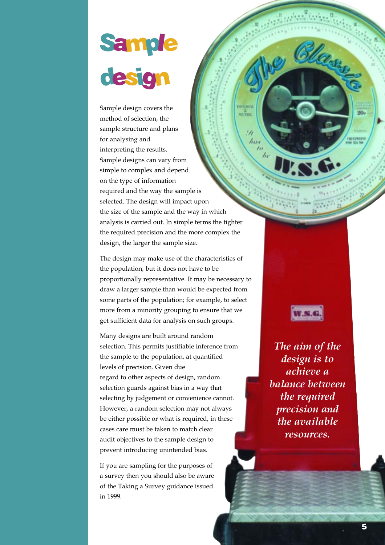# **Sample** design

Sample design covers the method of selection, the sample structure and plans for analysing and interpreting the results. Sample designs can vary from simple to complex and depend on the type of information required and the way the sample is selected. The design will impact upon the size of the sample and the way in which analysis is carried out. In simple terms the tighter the required precision and the more complex the design, the larger the sample size.

ur<sup>a</sup>ks

91

lin

 $\frac{a}{b}$ 

The design may make use of the characteristics of the population, but it does not have to be proportionally representative. It may be necessary to draw a larger sample than would be expected from some parts of the population; for example, to select more from a minority grouping to ensure that we get sufficient data for analysis on such groups.

Many designs are built around random selection. This permits justifiable inference from the sample to the population, at quantified levels of precision. Given due regard to other aspects of design, random selection guards against bias in a way that selecting by judgement or convenience cannot. However, a random selection may not always be either possible or what is required, in these cases care must be taken to match clear audit objectives to the sample design to prevent introducing unintended bias.

If you are sampling for the purposes of a survey then you should also be aware of the Taking a Survey guidance issued in 1999.

*The aim of the design is to achieve a balance between the required precision and the available resources.*

W.S.G

 $20 -$ 

ammos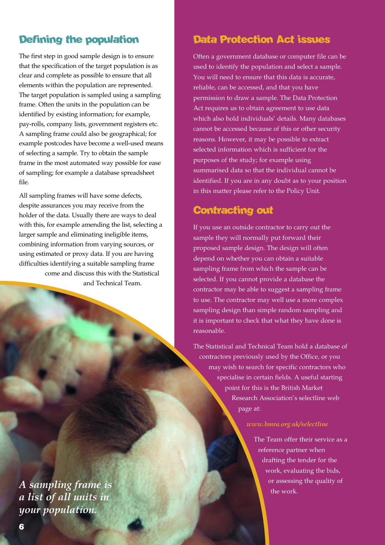# Defining the population

The first step in good sample design is to ensure that the specification of the target population is as clear and complete as possible to ensure that all elements within the population are represented. The target population is sampled using a sampling frame. Often the units in the population can be identified by existing information; for example, pay-rolls, company lists, government registers etc. A sampling frame could also be geographical; for example postcodes have become a well-used means of selecting a sample. Try to obtain the sample frame in the most automated way possible for ease of sampling; for example a database spreadsheet file.

All sampling frames will have some defects, despite assurances you may receive from the holder of the data. Usually there are ways to deal with this, for example amending the list, selecting a larger sample and eliminating ineligible items, combining information from varying sources, or using estimated or proxy data. If you are having difficulties identifying a suitable sampling frame come and discuss this with the Statistical and Technical Team.

*A sampling frame is a list of all units in your population.*

## Data Protection Act issues

Often a government database or computer file can be used to identify the population and select a sample. You will need to ensure that this data is accurate, reliable, can be accessed, and that you have permission to draw a sample. The Data Protection Act requires us to obtain agreement to use data which also hold individuals' details. Many databases cannot be accessed because of this or other security reasons. However, it may be possible to extract selected information which is sufficient for the purposes of the study; for example using summarised data so that the individual cannot be identified. If you are in any doubt as to your position in this matter please refer to the Policy Unit.

## Contracting out

If you use an outside contractor to carry out the sample they will normally put forward their proposed sample design. The design will often depend on whether you can obtain a suitable sampling frame from which the sample can be selected. If you cannot provide a database the contractor may be able to suggest a sampling frame to use. The contractor may well use a more complex sampling design than simple random sampling and it is important to check that what they have done is reasonable.

The Statistical and Technical Team hold a database of contractors previously used by the Office, or you may wish to search for specific contractors who specialise in certain fields. A useful starting point for this is the British Market Research Association's selectline web page at:

#### *www.bmra.org.uk/selectline*

The Team offer their service as a reference partner when drafting the tender for the work, evaluating the bids, or assessing the quality of the work.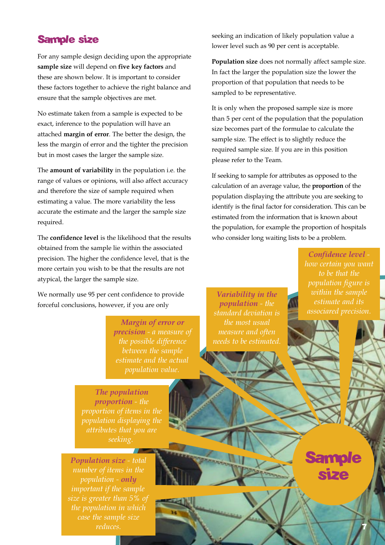## Sample size

For any sample design deciding upon the appropriate **sample size** will depend on **five key factors** and these are shown below. It is important to consider these factors together to achieve the right balance and ensure that the sample objectives are met.

No estimate taken from a sample is expected to be exact, inference to the population will have an attached **margin of error**. The better the design, the less the margin of error and the tighter the precision but in most cases the larger the sample size.

The **amount of variability** in the population i.e. the range of values or opinions, will also affect accuracy and therefore the size of sample required when estimating a value. The more variability the less accurate the estimate and the larger the sample size required.

The **confidence level** is the likelihood that the results obtained from the sample lie within the associated precision. The higher the confidence level, that is the more certain you wish to be that the results are not atypical, the larger the sample size.

We normally use 95 per cent confidence to provide forceful conclusions, however, if you are only

> *Margin of error or precision - a measure of the possible difference between the sample estimate and the actual*

seeking an indication of likely population value a lower level such as 90 per cent is acceptable.

**Population size** does not normally affect sample size. In fact the larger the population size the lower the proportion of that population that needs to be sampled to be representative.

It is only when the proposed sample size is more than 5 per cent of the population that the population size becomes part of the formulae to calculate the sample size. The effect is to slightly reduce the required sample size. If you are in this position please refer to the Team.

If seeking to sample for attributes as opposed to the calculation of an average value, the **proportion** of the population displaying the attribute you are seeking to identify is the final factor for consideration. This can be estimated from the information that is known about the population, for example the proportion of hospitals who consider long waiting lists to be a problem.

> *Confidence level to be that the population figure is estimate and its*

**Sample** 

size

7

*Variability in the population - the standard deviation is the most usual measure and often needs to be estimated.*

*The population proportion - the proportion of items in the population displaying the attributes that you are seeking.*

*Population size - total population - only size is greater than 5% of the population in which case the sample size reduces.*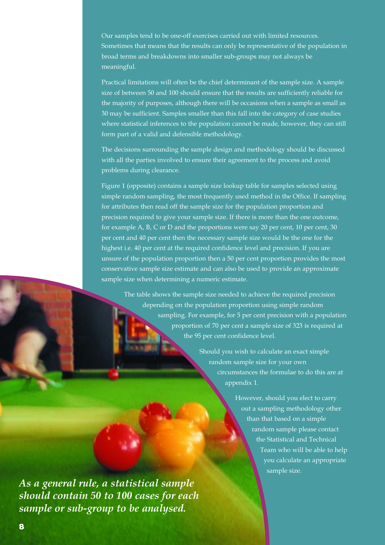Our samples tend to be one-off exercises carried out with limited resources. Sometimes that means that the results can only be representative of the population in broad terms and breakdowns into smaller sub-groups may not always be meaningful.

Practical limitations will often be the chief determinant of the sample size. A sample size of between 50 and 100 should ensure that the results are sufficiently reliable for the majority of purposes, although there will be occasions when a sample as small as 30 may be sufficient. Samples smaller than this fall into the category of case studies where statistical inferences to the population cannot be made, however, they can still form part of a valid and defensible methodology.

The decisions surrounding the sample design and methodology should be discussed with all the parties involved to ensure their agreement to the process and avoid problems during clearance.

Figure 1 (opposite) contains a sample size lookup table for samples selected using simple random sampling, the most frequently used method in the Office. If sampling for attributes then read off the sample size for the population proportion and precision required to give your sample size. If there is more than the one outcome, for example A, B, C or D and the proportions were say 20 per cent, 10 per cent, 30 per cent and 40 per cent then the necessary sample size would be the one for the highest i.e. 40 per cent at the required confidence level and precision. If you are unsure of the population proportion then a 50 per cent proportion provides the most conservative sample size estimate and can also be used to provide an approximate sample size when determining a numeric estimate.

The table shows the sample size needed to achieve the required precision depending on the population proportion using simple random sampling. For example, for 5 per cent precision with a population proportion of 70 per cent a sample size of 323 is required at the 95 per cent confidence level.

> Should you wish to calculate an exact simple random sample size for your own circumstances the formulae to do this are at appendix 1.

> > However, should you elect to carry out a sampling methodology other than that based on a simple random sample please contact the Statistical and Technical Team who will be able to help you calculate an appropriate sample size.

*As a general rule, a statistical sample should contain 50 to 100 cases for each sample or sub-group to be analysed.*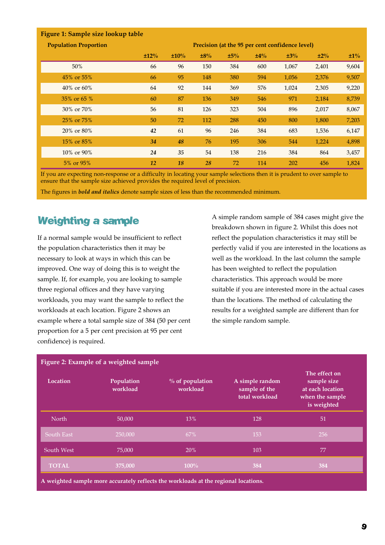| Figure 1: Sample size lookup table |      |      |     |     |        |                                                 |        |        |
|------------------------------------|------|------|-----|-----|--------|-------------------------------------------------|--------|--------|
| <b>Population Proportion</b>       |      |      |     |     |        | Precision (at the 95 per cent confidence level) |        |        |
|                                    | ±12% | ±10% | ±8% | ±5% | $±4\%$ | ±3%                                             | $±2\%$ | $±1\%$ |
| 50%                                | 66   | 96   | 150 | 384 | 600    | 1,067                                           | 2,401  | 9,604  |
| 45% or 55%                         | 66   | 95   | 148 | 380 | 594    | 1,056                                           | 2,376  | 9,507  |
| $40\% \text{ or } 60\%$            | 64   | 92   | 144 | 369 | 576    | 1,024                                           | 2,305  | 9,220  |
| 35% or 65 %                        | 60   | 87   | 136 | 349 | 546    | 971                                             | 2,184  | 8,739  |
| 30\% or 70\%                       | 56   | 81   | 126 | 323 | 504    | 896                                             | 2,017  | 8,067  |
| 25\% or 75\%                       | 50   | 72   | 112 | 288 | 450    | 800                                             | 1,800  | 7,203  |
| 20% or 80%                         | 42   | 61   | 96  | 246 | 384    | 683                                             | 1,536  | 6,147  |
| 15\% or 85\%                       | 34   | 48   | 76  | 195 | 306    | 544                                             | 1,224  | 4,898  |
| 10\% or 90\%                       | 24   | 35   | 54  | 138 | 216    | 384                                             | 864    | 3,457  |
| 5\% or 95\%                        | 12   | 18   | 28  | 72  | 114    | 202                                             | 456    | 1,824  |

If you are expecting non-response or a difficulty in locating your sample selections then it is prudent to over sample to ensure that the sample size achieved provides the required level of precision.

The figures in *bold and italics* denote sample sizes of less than the recommended minimum.

# Weighting a sample

If a normal sample would be insufficient to reflect the population characteristics then it may be necessary to look at ways in which this can be improved. One way of doing this is to weight the sample. If, for example, you are looking to sample three regional offices and they have varying workloads, you may want the sample to reflect the workloads at each location. Figure 2 shows an example where a total sample size of 384 (50 per cent proportion for a 5 per cent precision at 95 per cent confidence) is required.

A simple random sample of 384 cases might give the breakdown shown in figure 2. Whilst this does not reflect the population characteristics it may still be perfectly valid if you are interested in the locations as well as the workload. In the last column the sample has been weighted to reflect the population characteristics. This approach would be more suitable if you are interested more in the actual cases than the locations. The method of calculating the results for a weighted sample are different than for the simple random sample.

|              | Figure 2: Example of a weighted sample |                                                                                     |                                                    |                                                                                    |
|--------------|----------------------------------------|-------------------------------------------------------------------------------------|----------------------------------------------------|------------------------------------------------------------------------------------|
| Location     | Population<br>workload                 | $%$ of population<br>workload                                                       | A simple random<br>sample of the<br>total workload | The effect on<br>sample size<br>at each location<br>when the sample<br>is weighted |
| North        | 50,000                                 | 13%                                                                                 | 128                                                | 51                                                                                 |
| South East   | 250,000                                | 67%                                                                                 | 153                                                | 256                                                                                |
| South West   | 75,000                                 | 20%                                                                                 | 103                                                | 77                                                                                 |
| <b>TOTAL</b> | 375,000                                | $100\%$                                                                             | 384                                                | 384                                                                                |
|              |                                        | A weighted sample more accurately reflects the workloads at the regional locations. |                                                    |                                                                                    |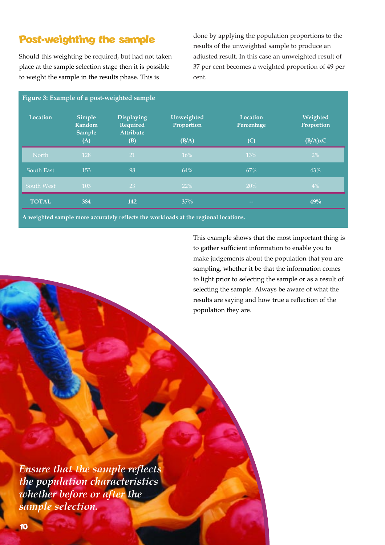# Post-weighting the sample

Should this weighting be required, but had not taken place at the sample selection stage then it is possible to weight the sample in the results phase. This is

done by applying the population proportions to the results of the unweighted sample to produce an adjusted result. In this case an unweighted result of 37 per cent becomes a weighted proportion of 49 per cent.

| Location     | <b>Simple</b><br>Random<br><b>Sample</b> | <b>Displaying</b><br>Required<br><b>Attribute</b> | Unweighted<br>Proportion | Location<br>Percentage   | Weighted<br>Proportion |
|--------------|------------------------------------------|---------------------------------------------------|--------------------------|--------------------------|------------------------|
|              | (A)                                      | (B)                                               | (B/A)                    | (C)                      | (B/A)xC                |
| North        | 128                                      | 21                                                | 16%                      | 13%                      | $2\%$                  |
| South East   | 153                                      | 98                                                | 64%                      | 67%                      | 43%                    |
| South West   | 103                                      | 23                                                | 22%                      | 20%                      | $4\%$                  |
| <b>TOTAL</b> | 384                                      | 142                                               | $37\%$                   | $\overline{\phantom{m}}$ | 49%                    |

**A weighted sample more accurately reflects the workloads at the regional locations.**

This example shows that the most important thing is to gather sufficient information to enable you to make judgements about the population that you are sampling, whether it be that the information comes to light prior to selecting the sample or as a result of selecting the sample. Always be aware of what the results are saying and how true a reflection of the population they are.

*Ensure that the sample reflects the population characteristics whether before or after the sample selection.*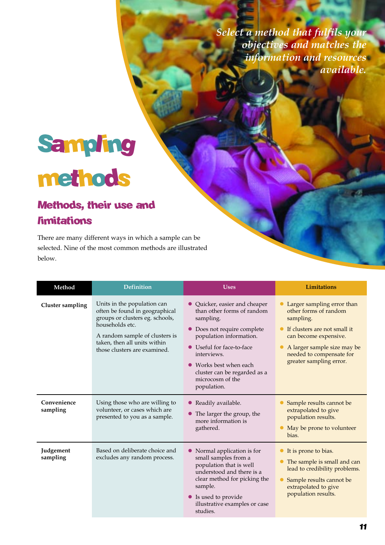*Select a method that fulfils your objectives and matches the information and resources available.*

# Sampling methods

# Methods, their use and **limitations**

There are many different ways in which a sample can be selected. Nine of the most common methods are illustrated below.

| Method                  | <b>Definition</b>                                                                                                                                                                                                     | <b>Uses</b>                                                                                                                                                                                                                                                               | <b>Limitations</b>                                                                                                                                                                                                |
|-------------------------|-----------------------------------------------------------------------------------------------------------------------------------------------------------------------------------------------------------------------|---------------------------------------------------------------------------------------------------------------------------------------------------------------------------------------------------------------------------------------------------------------------------|-------------------------------------------------------------------------------------------------------------------------------------------------------------------------------------------------------------------|
| Cluster sampling        | Units in the population can<br>often be found in geographical<br>groups or clusters eg. schools,<br>households etc.<br>A random sample of clusters is<br>taken, then all units within<br>those clusters are examined. | • Quicker, easier and cheaper<br>than other forms of random<br>sampling.<br>Does not require complete<br>population information.<br>• Useful for face-to-face<br>interviews.<br>• Works best when each<br>cluster can be regarded as a<br>microcosm of the<br>population. | Larger sampling error than<br>other forms of random<br>sampling.<br>• If clusters are not small it<br>can become expensive.<br>A larger sample size may be<br>needed to compensate for<br>greater sampling error. |
| Convenience<br>sampling | Using those who are willing to<br>volunteer, or cases which are<br>presented to you as a sample.                                                                                                                      | • Readily available.<br>The larger the group, the<br>more information is<br>gathered.                                                                                                                                                                                     | Sample results cannot be<br>extrapolated to give<br>population results.<br>• May be prone to volunteer<br>bias.                                                                                                   |
| Judgement<br>sampling   | Based on deliberate choice and<br>excludes any random process.                                                                                                                                                        | • Normal application is for<br>small samples from a<br>population that is well<br>understood and there is a<br>clear method for picking the<br>sample.<br>• Is used to provide<br>illustrative examples or case<br>studies.                                               | let is prone to bias.<br>The sample is small and can<br>lead to credibility problems.<br>Sample results cannot be<br>extrapolated to give<br>population results.                                                  |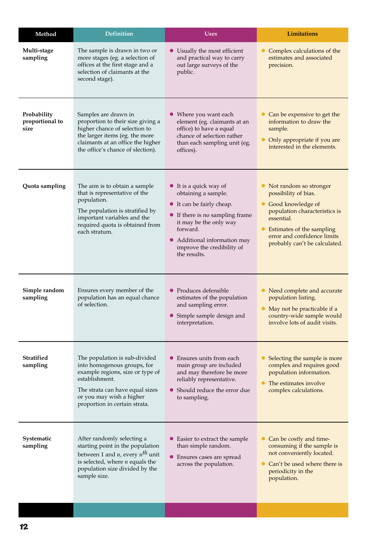| Method                                 | <b>Definition</b>                                                                                                                                                                                                  | <b>Uses</b>                                                                                                                                                                                                                       | Limitations                                                                                                                                                                                                                                 |
|----------------------------------------|--------------------------------------------------------------------------------------------------------------------------------------------------------------------------------------------------------------------|-----------------------------------------------------------------------------------------------------------------------------------------------------------------------------------------------------------------------------------|---------------------------------------------------------------------------------------------------------------------------------------------------------------------------------------------------------------------------------------------|
| Multi-stage<br>sampling                | The sample is drawn in two or<br>more stages (eg. a selection of<br>offices at the first stage and a<br>selection of claimants at the<br>second stage).                                                            | • Usually the most efficient<br>and practical way to carry<br>out large surveys of the<br>public.                                                                                                                                 | Complex calculations of the<br>$\bullet$<br>estimates and associated<br>precision.                                                                                                                                                          |
| Probability<br>proportional to<br>size | Samples are drawn in<br>proportion to their size giving a<br>higher chance of selection to<br>the larger items (eg. the more<br>claimants at an office the higher<br>the office's chance of slection).             | • Where you want each<br>element (eg. claimants at an<br>office) to have a equal<br>chance of selection rather<br>than each sampling unit (eg.<br>offices).                                                                       | Can be expensive to get the<br>information to draw the<br>sample.<br>Only appropriate if you are<br>interested in the elements.                                                                                                             |
| Quota sampling                         | The aim is to obtain a sample<br>that is representative of the<br>population.<br>The population is stratified by<br>important variables and the<br>required quota is obtained from<br>each stratum.                | • It is a quick way of<br>obtaining a sample.<br>• It can be fairly cheap.<br>• If there is no sampling frame<br>it may be the only way<br>forward.<br>• Additional information may<br>improve the credibility of<br>the results. | • Not random so stronger<br>possibility of bias.<br>Good knowledge of<br>$\bullet$<br>population characteristics is<br>essential.<br>Estimates of the sampling<br>$\bullet$<br>error and confidence limits<br>probably can't be calculated. |
| Simple random<br>sampling              | Ensures every member of the<br>population has an equal chance<br>of selection.                                                                                                                                     | • Produces defensible<br>estimates of the population<br>and sampling error.<br>• Simple sample design and<br>interpretation.                                                                                                      | Need complete and accurate<br>$\bullet$<br>population listing.<br>May not be practicable if a<br>country-wide sample would<br>involve lots of audit visits.                                                                                 |
| <b>Stratified</b><br>sampling          | The population is sub-divided<br>into homogenous groups, for<br>example regions, size or type of<br>establishment.<br>The strata can have equal sizes<br>or you may wish a higher<br>proportion in certain strata. | Ensures units from each<br>●<br>main group are included<br>and may therefore be more<br>reliably representative.<br>• Should reduce the error due<br>to sampling.                                                                 | Selecting the sample is more<br>complex and requires good<br>population information.<br>The estimates involve<br>$\bullet$<br>complex calculations.                                                                                         |
| Systematic<br>sampling                 | After randomly selecting a<br>starting point in the population<br>between 1 and <i>n</i> , every $n^{th}$ unit<br>is selected, where $n$ equals the<br>population size divided by the<br>sample size.              | • Easier to extract the sample<br>than simple random.<br>Ensures cases are spread<br>$\bullet$<br>across the population.                                                                                                          | Can be costly and time-<br>$\bullet$<br>consuming if the sample is<br>not conveniently located.<br>Can't be used where there is<br>periodicity in the<br>population.                                                                        |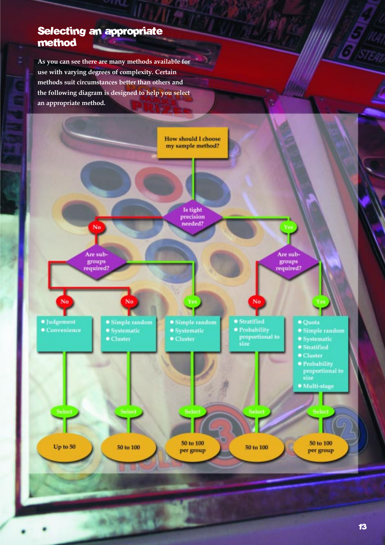## Selecting an appropriate method

**As you can see there are many methods available for use with varying degrees of complexity. Certain methods suit circumstances better than others and the following diagram is designed to help you select an appropriate method.**

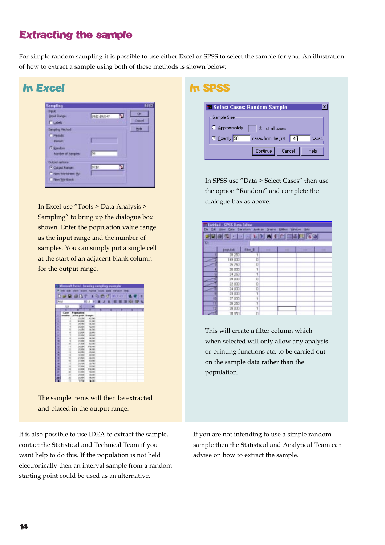# Extracting the sample

For simple random sampling it is possible to use either Excel or SPSS to select the sample for you. An illustration of how to extract a sample using both of these methods is shown below:

| <b>In Excel</b>                                                                                                                                                    |             |    |                          | <b>In SPSS</b>                                                |
|--------------------------------------------------------------------------------------------------------------------------------------------------------------------|-------------|----|--------------------------|---------------------------------------------------------------|
| <b>Sampling</b><br><b>DEAR</b><br>Liquit Range<br><b>FLAW</b><br>Sampling Hethod:<br><b>F</b> Perodic<br><b>Period:</b><br>F Randoni<br><b>Mariber of Sensioni</b> | 排信参加す<br>kа | n. | 前面<br>œ<br>Cascel<br>the | <b>SR Select</b><br>Sample S<br>$\bullet$ Approx<br>$C$ Exact |
| Output ratters:<br>F Gatput Range<br>IT Now Worksheet Elyt<br>IT New Worldwok                                                                                      | <b>SERE</b> |    |                          | In SPSS                                                       |

In Excel use "Tools > Data Analysis > Sampling" to bring up the dialogue box shown. Enter the population value range as the input range and the number of samples. You can simply put a single cell at the start of an adjacent blank column for the output range.

|         | Microsoft Excel - forwing complies example. |                       |                        |    |                           |          |      |   |
|---------|---------------------------------------------|-----------------------|------------------------|----|---------------------------|----------|------|---|
| 1104    |                                             | <b>Charles</b>        |                        |    | Evel Ford Dill 244 Vinces |          | 1981 |   |
|         |                                             |                       |                        |    |                           |          |      |   |
|         | 作業員 遊歌                                      | n                     |                        | 心的 | a.<br>$+1$                | $9.29 -$ |      | r |
|         |                                             |                       |                        |    |                           |          |      |   |
| Antal   |                                             |                       | $+12$<br>٠             |    | ■ 2 目 照                   |          | ш    | ₩ |
|         | U                                           | - 1                   | −                      |    |                           |          |      |   |
|         | ۳                                           |                       |                        |    |                           |          |      |   |
|         | Carm                                        | Forest                |                        |    |                           |          |      |   |
|         | $-1$                                        | <b>ISA 6400</b>       | Saturbi                |    |                           |          |      |   |
| т       |                                             | 19,194                | 42,706                 |    |                           |          |      |   |
| ۱       |                                             | 44,600                | 3,436                  |    |                           |          |      |   |
| ٠       |                                             | <b>mitte</b>          | 8,000                  |    |                           |          |      |   |
| ĸ       |                                             | 34,364                | 42, COM                |    |                           |          |      |   |
| ٠       |                                             | 24,250                | a.Kat                  |    |                           |          |      |   |
| ٠       |                                             | 19, 5492              | <b>TRIVAL</b>          |    |                           |          |      |   |
| ¥.      |                                             | 13,564                | 36,504                 |    |                           |          |      |   |
| ٠<br>۰  |                                             | 18,000                | 18,700<br><b>WATER</b> |    |                           |          |      |   |
|         | н                                           | 71,986<br><b>Cies</b> | <b>SLADE</b>           |    |                           |          |      |   |
| ×.<br>۰ | $\mathbf{H}$                                | <b>HUN</b>            | 176,100                |    |                           |          |      |   |
| ٠       | и                                           | 78,5460               | 3,586                  |    |                           |          |      |   |
| h,      | t i                                         | <b>ALMIN</b>          | Act Call               |    |                           |          |      |   |
| ۰       | $\mathbf{u}$                                | 32,500                | <b>JETR</b>            |    |                           |          |      |   |
| ٠       | н                                           | JT.NH                 | 38,196                 |    |                           |          |      |   |
| ٠       | u                                           | 23,000                | <b>GUIDE</b>           |    |                           |          |      |   |
| ۰       | H                                           | 15,796                | <b>SITK</b>            |    |                           |          |      |   |
| ٠       | u                                           | 21,006                | 36,896                 |    |                           |          |      |   |
| m.      | 14                                          | 18,000                | 176,100                |    |                           |          |      |   |
| ×       | si                                          | <b>58, MM</b>         | ш<br>w                 |    |                           |          |      |   |
| ×       | ы                                           | 24,006                | <b>ALCOHOL</b>         |    |                           |          |      |   |
| 肌       | п                                           | (1,986)               | <b>Arec</b>            |    |                           |          |      |   |
|         | m                                           | <b>UL RAVA</b>        | \$24                   |    |                           |          |      |   |

The sample items will then be extracted and placed in the output range.

It is also possible to use IDEA to extract the sample, contact the Statistical and Technical Team if you want help to do this. If the population is not held electronically then an interval sample from a random starting point could be used as an alternative.

| <b>**</b> Select Cases: Random Sample<br>×            |
|-------------------------------------------------------|
| Sample Size                                           |
| C Approximately<br>$\vert \quad \vert$ % of all cases |
| C Exactly 50<br>146<br>cases from the first<br>cases  |
| Continue<br>Help<br>Cancel                            |

In SPSS use "Data > Select Cases" then use the option "Random" and complete the dialogue box as above.

|     | <b>Builded - SPSS Data Editor</b>  | One Twelves Ankate Oracle United Virtuory |   | <b>Hotel</b> |  |
|-----|------------------------------------|-------------------------------------------|---|--------------|--|
|     | <u>este distribuidad este espe</u> |                                           |   |              |  |
| 12. |                                    |                                           |   |              |  |
|     | <b>IMAGES</b>                      | Flor: 5                                   | m |              |  |
|     | 29,250                             |                                           |   |              |  |
|     | 149,000                            | D                                         |   |              |  |
|     | 25,750                             | Б                                         |   |              |  |
|     | 26,000                             | ï                                         |   |              |  |
|     | 14,250                             | ī                                         |   |              |  |
|     | 29,000                             | D                                         |   |              |  |
|     | 22,000                             | Б                                         |   |              |  |
|     | 24,000                             | D                                         |   |              |  |
|     | 23,000                             | Í                                         |   |              |  |
| 切   | 27,000                             |                                           |   |              |  |
| π   | 28,250                             | ī                                         |   |              |  |
| 扫   | 29,000                             |                                           |   |              |  |
| m   | 78 951                             | n                                         |   |              |  |

This will create a filter column which when selected will only allow any analysis or printing functions etc. to be carried out on the sample data rather than the population.

If you are not intending to use a simple random sample then the Statistical and Analytical Team can advise on how to extract the sample.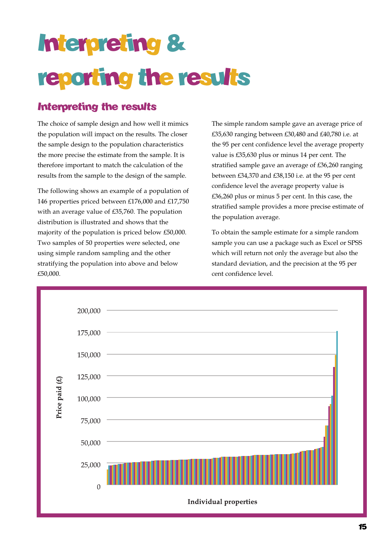# Interpreting & reporting the results

# Interpreting the results

The choice of sample design and how well it mimics the population will impact on the results. The closer the sample design to the population characteristics the more precise the estimate from the sample. It is therefore important to match the calculation of the results from the sample to the design of the sample.

The following shows an example of a population of 146 properties priced between £176,000 and £17,750 with an average value of £35,760. The population distribution is illustrated and shows that the majority of the population is priced below £50,000. Two samples of 50 properties were selected, one using simple random sampling and the other stratifying the population into above and below £50,000.

The simple random sample gave an average price of £35,630 ranging between £30,480 and £40,780 i.e. at the 95 per cent confidence level the average property value is £35,630 plus or minus 14 per cent. The stratified sample gave an average of £36,260 ranging between £34,370 and £38,150 i.e. at the 95 per cent confidence level the average property value is £36,260 plus or minus 5 per cent. In this case, the stratified sample provides a more precise estimate of the population average.

To obtain the sample estimate for a simple random sample you can use a package such as Excel or SPSS which will return not only the average but also the standard deviation, and the precision at the 95 per cent confidence level.

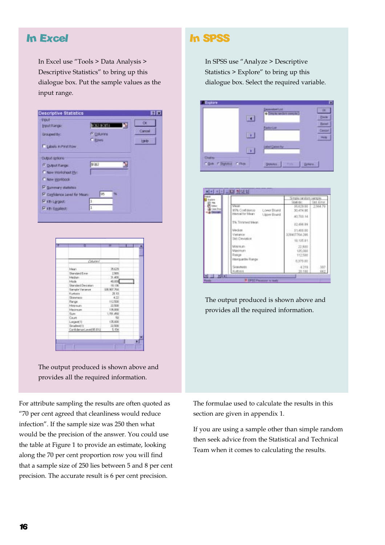## In Excel

In Excel use "Tools > Data Analysis > Descriptive Statistics" to bring up this dialogue box. Put the sample values as the input range.

| <b>treut</b><br><b>PENTRIPOR:</b> | 01210151<br>м          | œ            |
|-----------------------------------|------------------------|--------------|
| Groupwel By:                      | <sup>(F</sup> Columns) | Carcal       |
| Libris In Pent Row                | C Epws                 | <b>Harbo</b> |
| <b>CUIDLIC Options</b>            |                        |              |
| FOUNDATION:                       | \$082                  |              |
| Now Worksheet Ply:                |                        |              |
| C New Workbook                    |                        |              |
| P Sammary statistics              |                        |              |
| F Confidence Level for Mean:      | DB                     |              |
| <b>Pixtitargent</b>               | $\mathbf{I}$           |              |
| <b>Pitt Spalest</b>               | ı.                     |              |

| о                         | н           |  |
|---------------------------|-------------|--|
| Column!                   |             |  |
| Intern                    | 35.629      |  |
| Standard Evrop            | 2,909       |  |
| Intechance                | 31,400      |  |
| Mode.                     | 48,000      |  |
| <b>Standard Deviation</b> | 18.136      |  |
| <b>Sengia Valence</b>     | 328,907,764 |  |
| <b>Kurlopin</b>           | 20.10       |  |
| Skiwatt                   | 4.22        |  |
| Flange.                   | 112,500     |  |
| Melessary -               | 22,500      |  |
| Irlatinsum.               | 139,000     |  |
| <b>Thurs</b>              | 1,751,450   |  |
| Caurk.                    | - 50        |  |
| Lagest <sup>1</sup>       | 135,000     |  |
| Torvalle oil 11           | 22,500      |  |
| Card-derus Level(95.8%)   | 5.956       |  |
|                           |             |  |
|                           |             |  |
|                           |             |  |

The output produced is shown above and provides all the required information.

For attribute sampling the results are often quoted as 70 per cent agreed that cleanliness would reduce infection". If the sample size was 250 then what would be the precision of the answer. You could use the table at Figure 1 to provide an estimate, looking along the 70 per cent proportion row you will find that a sample size of 250 lies between 5 and 8 per cent precision. The accurate result is 6 per cent precision.

### In SPSS

In SPSS use "Analyze > Descriptive Statistics  $>$  Explore" to bring up this dialogue box. Select the required variable.

|                                                                             |  | <b>Acud Assistant</b><br>--<br><b>Controlle Fire</b><br><b>There</b> ALD |               |
|-----------------------------------------------------------------------------|--|--------------------------------------------------------------------------|---------------|
|                                                                             |  | Factor List                                                              | <b>Fédriu</b> |
|                                                                             |  | an tw<br>---                                                             |               |
| <b>THE PRIME</b><br><b>Marketa</b><br>IT Bolk<br>. e<br><b>F PASS</b><br>__ |  | <b>Shoke Arms</b>                                                        |               |



The output produced is shown above and provides all the required information.

The formulae used to calculate the results in this section are given in appendix 1.

If you are using a sample other than simple random then seek advice from the Statistical and Technical Team when it comes to calculating the results.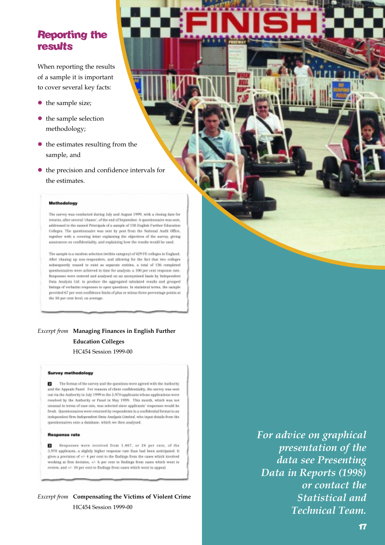## Reporting the results

When reporting the results of a sample it is important to cover several key facts:

- $\bullet$  the sample size;
- $\bullet$  the sample selection methodology;
- $\bullet$  the estimates resulting from the sample, and
- $\bullet$  the precision and confidence intervals for the estimates.

#### Methodology

The survey was conducted during July and August 1999, with a closing date for returns, after several 'chases', of the end of September. A questionnaire was sent, addressed to the named Principals of a sample of 138 English Further Education Colleges. The questionnaire was sent by post-from the National Audit Office, together with a covering letter explaining the objectives of the survey, giving assurances on confidentiality, and explaining how the results would be used.

The sample is a random selection (within category) of 429 FE colleges in England. After chasing up non-responders, and allowing for the fact that two colleges subsequently coased to exist as separate entities, a total of 136 completed questionnaires were achieved in time for analysis: a 100 per cent response rate. Responses were entered and analysed on an anonymised basis by Independent Data Analysis Ltd. to produce the aggregated tabulated results and grouped listings of verbatim responses to open questions. In statistical terms, the sample provided 67 per cent confidence limits of plus or minus three percentage points at the 50 per cent level, on average

*Excerpt from* **Managing Finances in English Further Education Colleges**  HC454 Session 1999-00

#### **Survey methodology**

The format of the survey and the questions were agreed with the Authority п and the Appeals Fanel. For reasons of client confidentiality, the survey was sent out via the Authority in July 1999 to the 5,970 applicants whose applications were resolved by the Authority or Panel in May 1999. This month, which was not urnsual in terms of case mix, was selected since applicants' respenses would be fresh. Questionnaires were returned by respondents in a confidential format to an independent firm federated out firm Analysis United, who inset details from the questionnaires onto a database, which we then analysed,

#### **Response rate**

Responses were received from 1,407, or 24 per cent, of the 日 5,970 applicants, a slightly higher response rate than had been anticipated. It gives a precision of  $\ast\prime\text{-}$  4 per cent to the findings from the cases which involved working at first decision, +/- 6 per cent to findings from cases which went to review, and +/- 10 per cent to findings from cases which went to appeal.

*Excerpt from* **Compensating the Victims of Violent Crime**  HC454 Session 1999-00

*For advice on graphical presentation of the data see Presenting Data in Reports (1998) or contact the Statistical and Technical Team.*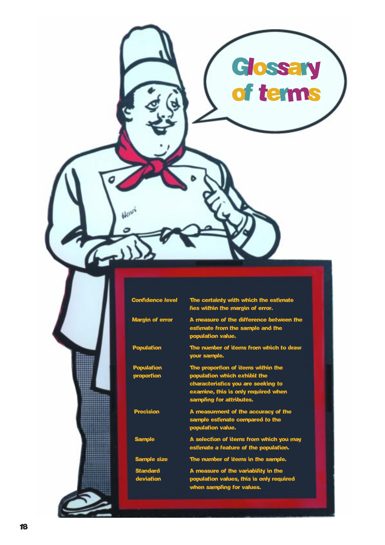|                                  | Glossary<br>of terms                                                                                                                                                        |  |
|----------------------------------|-----------------------------------------------------------------------------------------------------------------------------------------------------------------------------|--|
|                                  |                                                                                                                                                                             |  |
| Confid<br><b>Margin of error</b> | The certainty with winding<br>lies within the margin of error.<br>A measure of the difference between the                                                                   |  |
| <b>Population</b>                | estimate from the sample and the<br>population value.<br>The number of items from which to draw<br>your sample.                                                             |  |
| <b>Population</b><br>proportion  | The proportion of items within the<br>population which exhibit the<br>characteristics you are seeking to<br>examine, this is only required when<br>sampling for attributes. |  |
| <b>Precision</b>                 | A measurment of the accuracy of the<br>sample estimate compared to the<br>population value.                                                                                 |  |
| <b>Sample</b>                    | A selection of items from which you may<br>estimate a feature of the population.                                                                                            |  |
| <b>Sample size</b>               | The number of items in the sample.                                                                                                                                          |  |
| <b>Standard</b><br>deviation     | A measure of the variability in the<br>population values, this is only required<br>when sampling for values.                                                                |  |
|                                  |                                                                                                                                                                             |  |

 $\tilde{\phantom{a}}$ 

ь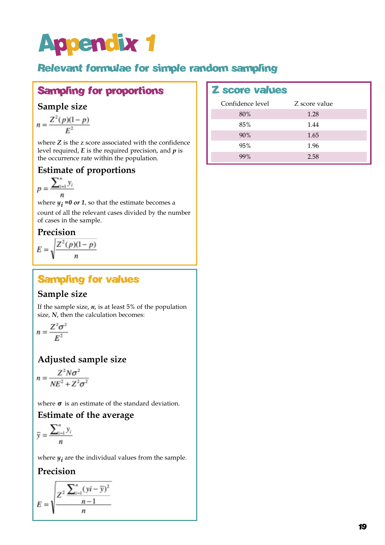# Appendix 1

# Relevant formulae for simple random sampling

# Sampling for proportions | Z score values

### **Sample size**

$$
n = \frac{Z^2(p)(1-p)}{E^2}
$$

where *Z* is the z score associated with the confidence level required, *E* is the required precision, and *p* is the occurrence rate within the population.

## **Estimate of proportions**

$$
p = \frac{\sum_{i=1}^{n} y_i}{n}
$$

where  $y_i = 0$  or 1, so that the estimate becomes a

count of all the relevant cases divided by the number of cases in the sample.

### **Precision**

$$
E = \sqrt{\frac{Z^2(p)(1-p)}{n}}
$$

# Sampling for values

### **Sample size**

If the sample size,  $n$ , is at least  $5\%$  of the population size, *N*, then the calculation becomes:

$$
n = \frac{Z^2 \sigma^2}{E^2}
$$

## **Adjusted sample size**

$$
n = \frac{Z^2 N \sigma^2}{N E^2 + Z^2 \sigma^2}
$$

where  $\sigma$  is an estimate of the standard deviation.

### **Estimate of the average**

$$
\overline{y} = \frac{\sum_{i=1}^{n} y_i}{n}
$$

where  $y_i$  are the individual values from the sample.

### **Precision**

$$
E = \sqrt{\frac{Z^2 \frac{\sum_{i=1}^{n} (yi - \overline{y})^2}{n-1}}{n}}
$$

| Confidence level | Z score value |  |
|------------------|---------------|--|
| 80%              | 1.28          |  |
| 85%              | 1.44          |  |
| 90%              | 1.65          |  |
| 95%              | 1.96          |  |
| 99%              | 2.58          |  |